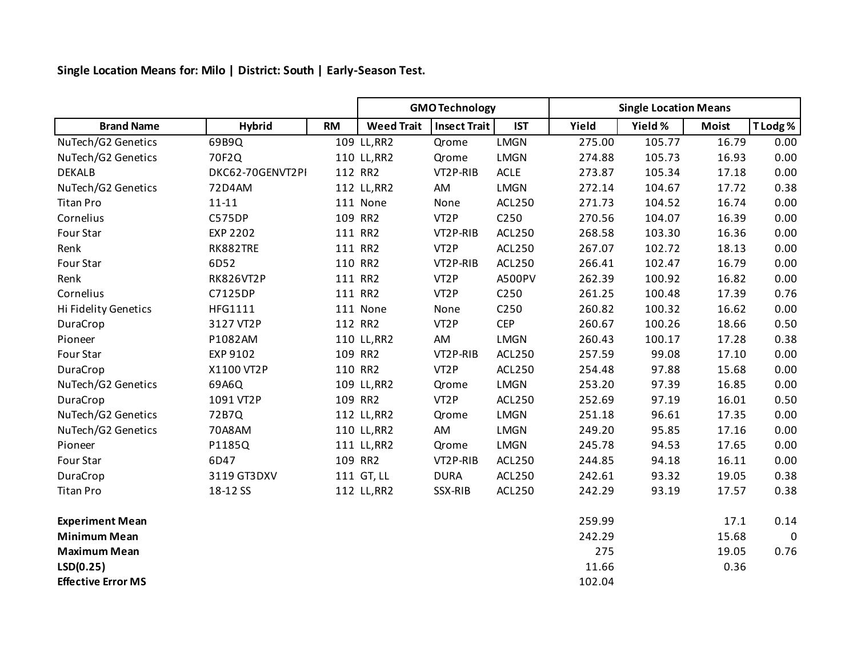**Single Location Means for: Milo | District: South | Early-Season Test.**

|                           |                  |           | <b>GMO Technology</b> |                     |               | <b>Single Location Means</b> |         |              |             |
|---------------------------|------------------|-----------|-----------------------|---------------------|---------------|------------------------------|---------|--------------|-------------|
| <b>Brand Name</b>         | <b>Hybrid</b>    | <b>RM</b> | <b>Weed Trait</b>     | <b>Insect Trait</b> | <b>IST</b>    | Yield                        | Yield % | <b>Moist</b> | T Lodg %    |
| NuTech/G2 Genetics        | 69B9Q            |           | 109 LL, RR2           | Qrome               | <b>LMGN</b>   | 275.00                       | 105.77  | 16.79        | 0.00        |
| NuTech/G2 Genetics        | 70F2Q            |           | 110 LL, RR2           | Qrome               | <b>LMGN</b>   | 274.88                       | 105.73  | 16.93        | 0.00        |
| <b>DEKALB</b>             | DKC62-70GENVT2PI |           | 112 RR2               | VT2P-RIB            | <b>ACLE</b>   | 273.87                       | 105.34  | 17.18        | 0.00        |
| NuTech/G2 Genetics        | 72D4AM           |           | 112 LL, RR2           | AM                  | <b>LMGN</b>   | 272.14                       | 104.67  | 17.72        | 0.38        |
| <b>Titan Pro</b>          | $11 - 11$        |           | 111 None              | None                | ACL250        | 271.73                       | 104.52  | 16.74        | 0.00        |
| Cornelius                 | <b>C575DP</b>    |           | 109 RR2               | VT <sub>2</sub> P   | C250          | 270.56                       | 104.07  | 16.39        | 0.00        |
| Four Star                 | <b>EXP 2202</b>  |           | 111 RR2               | VT2P-RIB            | ACL250        | 268.58                       | 103.30  | 16.36        | 0.00        |
| Renk                      | RK882TRE         |           | 111 RR2               | VT <sub>2</sub> P   | ACL250        | 267.07                       | 102.72  | 18.13        | 0.00        |
| Four Star                 | 6D52             |           | 110 RR2               | VT2P-RIB            | ACL250        | 266.41                       | 102.47  | 16.79        | 0.00        |
| Renk                      | <b>RK826VT2P</b> |           | 111 RR2               | VT <sub>2</sub> P   | A500PV        | 262.39                       | 100.92  | 16.82        | 0.00        |
| Cornelius                 | C7125DP          |           | 111 RR2               | VT <sub>2</sub> P   | C250          | 261.25                       | 100.48  | 17.39        | 0.76        |
| Hi Fidelity Genetics      | HFG1111          |           | 111 None              | None                | C250          | 260.82                       | 100.32  | 16.62        | 0.00        |
| DuraCrop                  | 3127 VT2P        |           | 112 RR2               | VT <sub>2</sub> P   | <b>CEP</b>    | 260.67                       | 100.26  | 18.66        | 0.50        |
| Pioneer                   | P1082AM          |           | 110 LL, RR2           | AM                  | <b>LMGN</b>   | 260.43                       | 100.17  | 17.28        | 0.38        |
| Four Star                 | EXP 9102         |           | 109 RR2               | VT2P-RIB            | ACL250        | 257.59                       | 99.08   | 17.10        | 0.00        |
| DuraCrop                  | X1100 VT2P       |           | 110 RR2               | VT <sub>2</sub> P   | <b>ACL250</b> | 254.48                       | 97.88   | 15.68        | 0.00        |
| NuTech/G2 Genetics        | 69A6Q            |           | 109 LL, RR2           | Qrome               | <b>LMGN</b>   | 253.20                       | 97.39   | 16.85        | 0.00        |
| DuraCrop                  | 1091 VT2P        |           | 109 RR2               | VT <sub>2</sub> P   | ACL250        | 252.69                       | 97.19   | 16.01        | 0.50        |
| NuTech/G2 Genetics        | 72B7Q            |           | 112 LL, RR2           | Qrome               | <b>LMGN</b>   | 251.18                       | 96.61   | 17.35        | 0.00        |
| NuTech/G2 Genetics        | 70A8AM           |           | 110 LL, RR2           | AM                  | <b>LMGN</b>   | 249.20                       | 95.85   | 17.16        | 0.00        |
| Pioneer                   | P1185Q           |           | 111 LL, RR2           | Qrome               | <b>LMGN</b>   | 245.78                       | 94.53   | 17.65        | 0.00        |
| Four Star                 | 6D47             |           | 109 RR2               | VT2P-RIB            | ACL250        | 244.85                       | 94.18   | 16.11        | 0.00        |
| DuraCrop                  | 3119 GT3DXV      |           | 111 GT, LL            | <b>DURA</b>         | ACL250        | 242.61                       | 93.32   | 19.05        | 0.38        |
| <b>Titan Pro</b>          | 18-12 SS         |           | 112 LL, RR2           | SSX-RIB             | ACL250        | 242.29                       | 93.19   | 17.57        | 0.38        |
| <b>Experiment Mean</b>    |                  |           |                       |                     |               | 259.99                       |         | 17.1         | 0.14        |
| <b>Minimum Mean</b>       |                  |           |                       |                     |               | 242.29                       |         | 15.68        | $\mathbf 0$ |
| <b>Maximum Mean</b>       |                  |           |                       |                     |               | 275                          |         | 19.05        | 0.76        |
| LSD(0.25)                 |                  |           |                       |                     |               | 11.66                        |         | 0.36         |             |
| <b>Effective Error MS</b> |                  |           |                       |                     |               | 102.04                       |         |              |             |